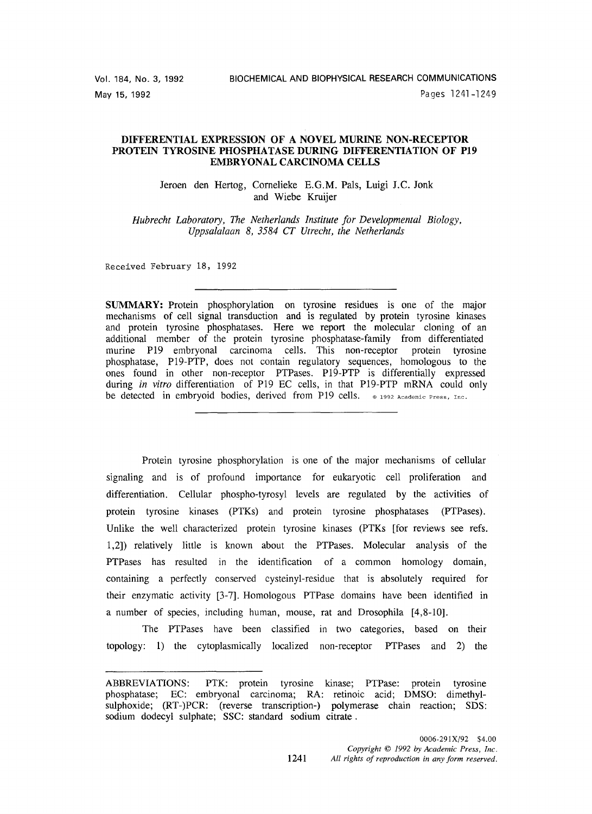# **DIFFERENTIAL EXPRESSION OF A NOVEL MURINE NON-RECEPTOR PROTEIN TYROSINE PHOSPHATASE DURING DIFFERENTIATION OF P19 EMBRYONAL CARCINOMA CELLS**

Jeroen den Hertog, Cornelieke E.G.M. Pals, Luigi J.C. Jonk and Wiebe Kruijer

*Hubrecht Laboratory, The Netherlands Institute for Developmental Biology, Uppsalalaan 8, 3584 CT Utrecht, the Netherlands* 

Received February 18, 1992

**SUMMARY:** Protein phosphorylation on tyrosine residues is one of the major mechanisms of cell signal transduction and is regulated by protein tyrosine kinases and protein tyrosine phosphatases. Here we report the molecular cloning of an additional member of the protein tyrosine phosphatase-family from differentiated murine P19 embryonal carcinoma cells. This non-receptor protein tyrosine phosphatase, P19-PTP, does not contain regulatory sequences, homologous to the ones found in other non-receptor PTPases. P19-PTP is differentially expressed during *in vitro* differentiation of P19 EC cells, in that P19-PTP mRNA could only be detected in embryoid bodies, derived from P19 cells.  $\circ$  1992 Academic Press, Inc.

Protein tyrosine phosphorylation is one of the major mechanisms of cellular signaling and is of profound importance for eukaryotic cell proliferation and differentiation. Cellular phospho-tyrosyl levels are regulated by the activities of protein tyrosine kinases (PTKs) and protein tyrosine phosphatases (PTPases). Unlike the well characterized protein tyrosine kinases (PTKs [for reviews see refs. 1,2]) relatively little is known about the PTPases. Molecular analysis of the PTPases has resulted in the identification of a common homology domain, containing a perfectly conserved cysteinyl-residue that is absolutely required for their enzymatic activity [3-7]. Homologous PTPase domains have been identified in a number of species, including human, mouse, rat and Drosophila [4,8-10].

The PTPases have been classified in two categories, based on their topology: 1) the cytoplasmically localized non-receptor PTPases and 2) the

ABBREVIATIONS: PTK: protein tyrosine kinase; PTPase: protein tyrosine phosphatase; EC: embryonal carcinoma; RA: retinoic acid; DMSO: dimethylsulphoxide; (RT-)PCR: (reverse transcription-) polymerase chain reaction; SDS: sodium dodecyl sulphate; SSC: standard sodium citrate.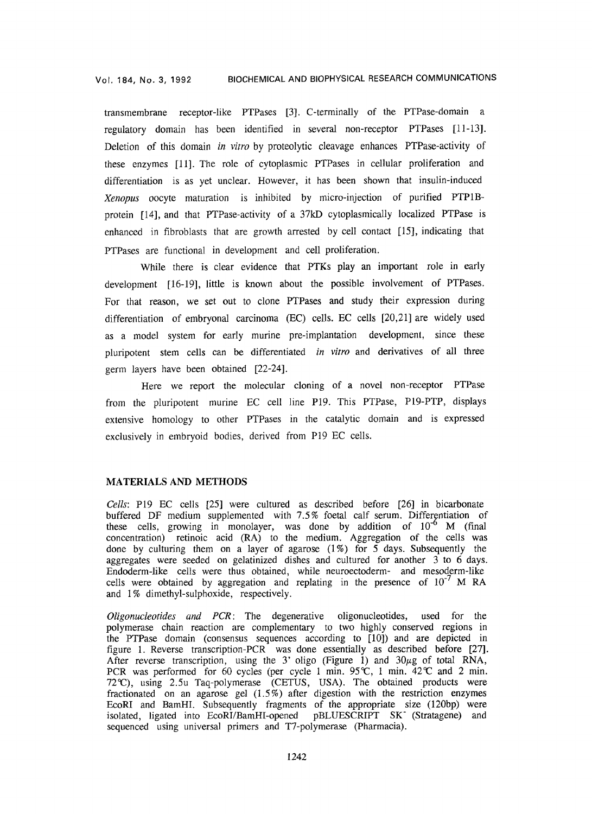transmembrane receptor-like PTPases [3]. C-terminally of the PTPase-domain a regulatory domain has been identified in several non-receptor PTPases [11-13]. Deletion of this domain *in vitro* by proteolytic cleavage enhances PTPase-activity of these enzymes [11]. The role of cytoplasmic PTPases in cellular proliferation and differentiation is as yet unclear. However, it has been shown that insulin-induced *Xenopus* oocyte maturation is inhibited by micro-injection of purified PTP1Bprotein [14], and that PTPase-activity of a 37kD cytoplasmically localized PTPase is enhanced in fibroblasts that are growth arrested by cell contact [15], indicating that PTPases are functional in development and cell proliferation.

While there is clear evidence that PTKs play an important role in early development [16-19], little is known about the possible involvement of PTPases. For that reason, we set out to clone PTPases and study their expression during differentiation of embryonal carcinoma (EC) cells. EC cells [20,21] are widely used as a model system for early murine pre-implantation development, since these pluripotent stem cells can be differentiated *in vitro* and derivatives of all three germ layers have been obtained [22-24].

Here we report the molecular cloning of a novel non-receptor PTPase from the pluripotent murine EC cell line P19. This PTPase, P19-PTP, displays extensive homology to other PTPases in the catalytic domain and is expressed exclusively in embryoid bodies, derived from P19 EC cells.

# MATERIALS AND METHODS

*Cells:* P19 EC cells [25] were cultured as described before [26] in bicarbonate buffered DF medium supplemented with 7.5% foetal calf serum. Differentiation of these cells, growing in monolayer, was done by addition of  $10^{-6}$  M (final concentration) retinoic acid (RA) to the medium. Aggregation of the cells was done by culturing them on a layer of agarose (1%) for 5 days. Subsequently the aggregates were seeded on gelatinized dishes and cultured for another 3 to 6 days. Endoderm-like cells were thus obtained, while neuroectoderm- and mesoderm-like cells were obtained by aggregation and replating in the presence of  $10^{-7}$  M RA and 1% dimethyl-sulphoxide, respectively.

*Oligonucleotides and PCR:* The degenerative oligonucleotides, used for the polymerase chain reaction are complementary to two highly conserved regions in the PTPase domain (consensus sequences according to [10]) and are depicted in figure 1. Reverse transcription-PCR was done essentially as described before [27]. After reverse transcription, using the 3' oligo (Figure 1) and  $30\mu$ g of total RNA, PCR was performed for 60 cycles (per cycle 1 min. 95°C, 1 min. 42°C and 2 min. 72~C), using 2.5u Taq-polymerase (CETUS, USA). The obtained products were fractionated on an agarose gel  $(1.5\%)$  after digestion with the restriction enzymes EcoRI and BamHI. Subsequently fragments of the appropriate size (120bp) were isolated, ligated into EcoRI/BamHI-opened pBLUESCRIPT SK (Stratagene) and sequenced using universal primers and T7-polymerase (Pharmacia).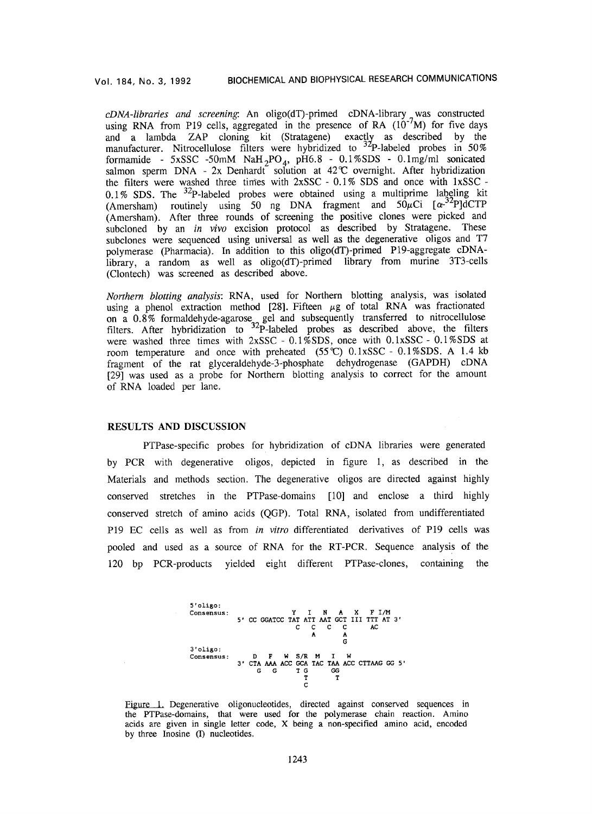*cDNA-libraries and screening* An oligo(dT)-primed cDNA-library was constructed using RNA from P19 cells, aggregated in the presence of RA (10-7M) for five days and a lambda ZAP cloning kit (Stratagene) exactly as described by the manufacturer. Nitrocellulose filters were hybridized to  $\frac{3}{2}$ P-labeled probes in 50% formamide - 5xSSC -50mM NaH<sub>2</sub>PO<sub>4</sub>, pH6.8 - 0.1%SDS - 0.1mg/ml sonicated salmon sperm DNA - 2x Denhardt solution at 42°C overnight. After hybridization the filters were washed three times with 2xSSC - 0.1% SDS and once with lxSSC -  $0.1\%$  SDS. The <sup>32</sup>P-labeled probes were obtained using a multiprime labeling kit (Amersham) routinely using 50 ng DNA fragment and  $50\mu$ Ci [ $\alpha^{-32}$ P]dCTP (Amersham). After three rounds of screening the positive clones were picked and subcloned by an *in vivo* excision protocol as described by Stratagene. These subclones were sequenced using universal as well as the degenerative oligos and T7 polymerase (Pharmacia). In addition to this oligo(dT)-primed P19-aggregate cDNAlibrary, a random as well as oligo(dT)-primed library from murine 3T3-cells (Clontech) was screened as described above.

*Northern blotting analysis:* RNA, used for Northern blotting analysis, was isolated using a phenol extraction method [28]. Fifteen  $\mu$ g of total RNA was fractionated on a  $0.8\%$  formaldehyde-agarose gel and subsequently transferred to nitrocellulose filters. After hybridization to  $3^{2}P$ -labeled probes as described above, the filters were washed three times with 2xSSC - 0.1%SDS, once with 0.1xSSC - 0.1%SDS at room temperature and once with preheated  $(55\degree\text{C})$  0.1xSSC - 0.1%SDS. A 1.4 kb fragment of the rat glyceraldehyde-3-phosphate dehydrogenase (GAPDH) cDNA [29] was used as a probe for Northern blotting analysis to correct for the amount of RNA loaded per lane.

## RESULTS AND DISCUSSION

PTPase-specific probes for hybridization of cDNA libraries were generated by PCR with degenerative oligos, depicted in figure 1, as described in the Materials and methods section. The degenerative oligos are directed against highly conserved stretches in the PTPase-domains [10] and enclose a third highly conserved stretch of amino acids (QGP). Total RNA, isolated from undifferentiated P19 EC cells as well as from *in vitro* differentiated derivatives of P19 cells was pooled and used as a source of RNA for the RT-PCR. Sequence analysis of the 120 bp PCR-products yielded eight different PTPase-clones, containing the



Figure 1. Degenerative oligonucleotides, directed against conserved sequences in the PTPase-domains, that were used for the polymerase chain reaction. Amino acids are given in single letter code, X being a non-specified amino acid, encoded by three Inosine (I) nucleotides.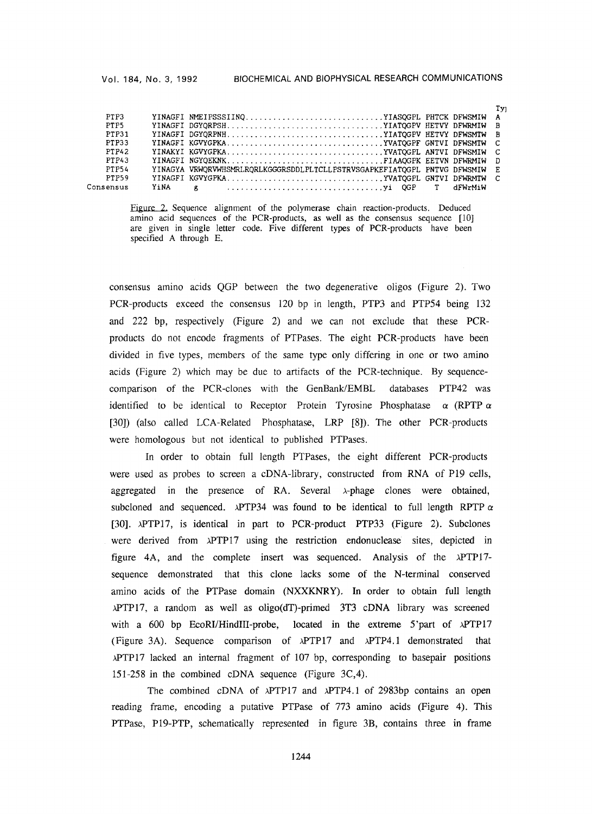#### Vol. 184, No. 3, 1992 BIOCHEMICAL AND BIOPHYSICAL RESEARCH COMMUNICATIONS

 $T_{\text{max}}$ 

|           |      |                                                                            | $+1$ |
|-----------|------|----------------------------------------------------------------------------|------|
| PTP3      |      | YINAGFI NMEIPSSSIINQYIASQGPL PHTCK DFWSMIW A                               |      |
| PTP5      |      | YINAGFI DGYQRPSHYIATQGPV HETVY DFWRMIW B                                   |      |
| PTP31     |      | YINAGFI DGYORPNHYIATOGPV HETVY DFWSMTW B                                   |      |
| PTP33     |      |                                                                            |      |
| PTP42     |      |                                                                            |      |
| PTP43     |      | YINAGFI NGYQEKNKFIAAOGPK EETVN DFWRMIW D                                   |      |
| PTP54     |      | YINAGYA VRWORVWHSMRLRORLKGGGRSDDLPLTCLLPSTRVSGAPKEFIATOGPL PNTVG DFWSMIW E |      |
| PTP59     |      | YINAGFI KGVYGPKAYVATOGPL GNTVI DFWRMTW C                                   |      |
| Consensus | YiNA |                                                                            |      |
|           |      |                                                                            |      |

Figure 2. Sequence alignment of the polymerase chain reaction-products. Deduced amino acid sequences of the PCR-products, as well as the consensus sequence [10] are given in single letter code. Five different types of PCR-products have been specified A through E.

consensus amino acids QGP between the two degenerative oligos (Figure 2). Two PCR-products exceed the consensus 120 bp in length, PTP3 and PTP54 being 132 and 222 bp, respectively (Figure 2) and we can not exclude that these PCRproducts do not encode fragments of PTPases. The eight PCR-products have been divided in five types, members of the same type only differing in one or two amino acids (Figure 2) which may be due to artifacts of the PCR-technique. By sequencecomparison of the PCR-clones with the GenBank/EMBL databases PTP42 was identified to be identical to Receptor Protein Tyrosine Phosphatase  $\alpha$  (RPTP  $\alpha$ [30]) (also called LCA-Related Phosphatase, LRP [8]). The other PCR-products were homologous but not identical to published PTPases.

In order to obtain full length PTPases, the eight different PCR-products were used as probes to screen a cDNA-library, constructed from RNA of P19 cells, aggregated in the presence of RA. Several  $\lambda$ -phage clones were obtained, subcloned and sequenced.  $\lambda$ PTP34 was found to be identical to full length RPTP  $\alpha$ [30]. xPTP17, is identical in part to PCR-product PTP33 (Figure 2). Subclones were derived from xPTP17 using the restriction endonuclease sites, depicted in figure 4A, and the complete insert was sequenced. Analysis of the xPTP17 sequence demonstrated that this clone lacks some of the N-terminal conserved amino acids of the PTPase domain (NXXKNRY). In order to obtain full length xPTP17, a random as well as oligo(dT)-primed 3T3 cDNA library was screened with a 600 bp EcoRI/HindIII-probe, located in the extreme 5'part of  $\lambda$ PTP17 (Figure 3A). Sequence comparison of xPTP17 and xPTP4.1 demonstrated that ),PTP17 lacked an internal fragment of 107 bp, corresponding to basepair positions 151-258 in the combined cDNA sequence (Figure 3C,4).

The combined cDNA of  $\lambda$ PTP17 and  $\lambda$ PTP4.1 of 2983bp contains an open reading frame, encoding a putative PTPase of 773 amino acids (Figure 4). This PTPase, P19-PTP, schematically represented in figure 3B, contains three in frame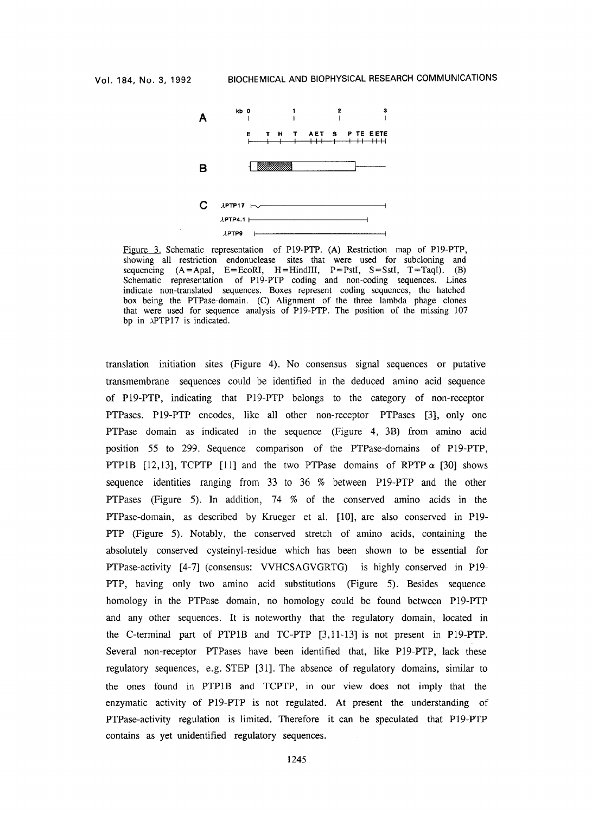

Figure 3. Schematic representation of P19-PTP. (A) Restriction map of P19-PTP, showing all restriction endonuclease sites that were used for subcloning and sequencing  $(A = ApaI, E = EcoRI, H = HinduII, P = PstI, S = SstI, T = TaqI)$ . (B) Schematic representation of P19-PTP coding and non-coding sequences. Lines indicate non-translated sequences. Boxes represent coding sequences, the hatched box being the PTPase-domain. (C) Alignment of the three lambda phage clones that were used for sequence analysis of P19-PTP. The position of the missing 107 bp in xPTP17 is indicated.

translation initiation sites (Figure 4). No consensus signal sequences or putative transmembrane sequences could be identified in the deduced amino acid sequence of P19-PTP, indicating that P19-PTP belongs to the category of non-receptor PTPases. P19-PTP encodes, like all other non-receptor PTPases [3], only one PTPase domain as indicated in the sequence (Figure 4, 3B) from amino acid position 55 to 299. Sequence comparison of the PTPase-domains of P19-PTP, PTP1B  $[12,13]$ , TCPTP  $[11]$  and the two PTPase domains of RPTP  $\alpha$  [30] shows sequence identities ranging from 33 to 36 % between P19-PTP and the other PTPases (Figure 5). In addition, 74 % of the conserved amino acids in the PTPase-domain, as described by Krueger et al. [10], are also conserved in P19- PTP (Figure 5). Notably, the conserved stretch of amino acids, containing the absolutely conserved cysteinyl-residue which has been shown to be essential for PTPase-activity [4-7] (consensus: VVHCSAGVGRTG) is highly conserved in P19- PTP, having only two amino acid substitutions (Figure 5). Besides sequence homology in the PTPase domain, no homology could be found between P19-PTP and any other sequences. It is noteworthy that the regulatory domain, located in the C-terminal part of PTP1B and TC-PTP [3,11-13] is not present in P19-PTP. Several non-receptor PTPases have been identified that, like P19-PTP, lack these regulatory sequences, e.g. STEP [31]. The absence of regulatory domains, similar to the ones found in PTP1B and TCPTP, in our view does not imply that the enzymatic activity of P19-PTP is not regulated. At present the understanding of PTPase-activity regulation is limited. Therefore it can be speculated that P19-PTP contains as yet unidentified regulatory sequences.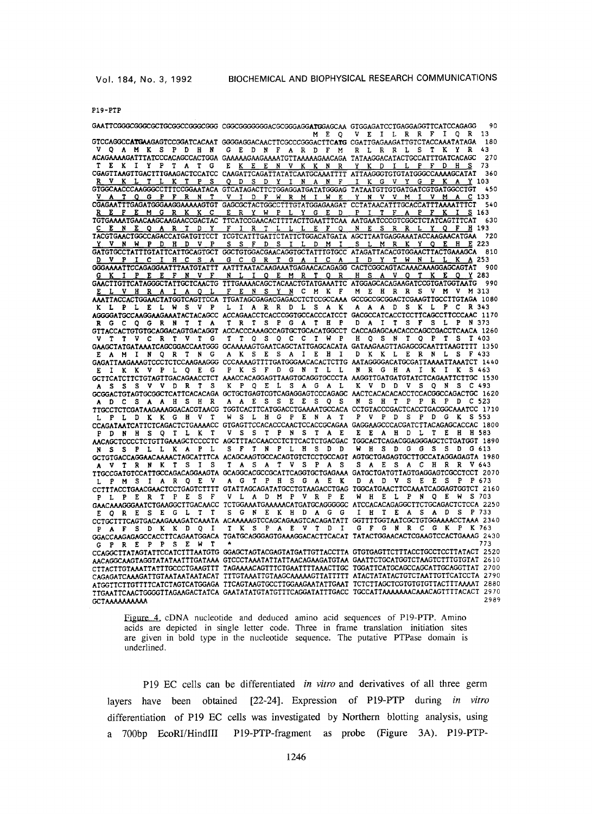#### PIg-PTP

GAATICGGCCGGCCCCCCGCCCGGCCGGC CGGCGGGGGACGCGGGACGCAGATGGAGCAA GICGAGAICCIGAGGAGGTICATCCAGAGG 90<br>M E O V E I L R R F I O R 13 M E Q V E I L R R F I Q R 13<br>GTCCAGGCC**ATGA**AGAGTCCGGATCACAAT GGGGAGGACAACTTCGCCCGGGACTTC**ATG** CGATTGAGAAGATTGTCTACCAAATATAGA 180 A M K S P D H N G E D N F A R D F M R L R R L S T K Y R 43 ACAGAAAAGATTTATCCCACAGCCACTGGA GAAAAGAAGAAAATGTTAAAAAGAACAGA TATAAGGACATACTGCCATTTGATCACAGC<br>TEKIYPTATGEKEEN VKKNRYKDILPFDHS E <u>K E E N V K K N R Y K D I L P F D H S</u> 73<br>CAAGATTCAGATTATATCAATGCAAATTTT ATTAAGGGTGTGTATGGCCCAAAGCATAT 360 **CGAGTTAAGTTGACTTGAAGACTCCATCC CAAGATTCAGATTATATCAATGCAAATTTT ATTAAGGGTGTGTATGGGCCAAAAGCATAT 3**<br>R V K L T L K T P S Q D S D Y I N N F I K <u>O D S D Y I N A N F I K G V Y G P K A Y</u> 103<br>STCATAGACTICTGGAGGATGATAGGGAG TATAATGITGGTGATGATGGCCTGT 450 GTGCCAACCCAAGGCCTTTCCGGAATACA GTCATAGACTTCTGGAGGATGATATGGGAG TATAATGTTGTGATGATGGTGATGGCCTGT 4 V A T Q G P F R N T V I D F W R M I W E Y N V V M I V M A C 133 CGAGAATTTGAGATGGGAAGGAAAAAGTGT GAGCGCTACTGGCCTTTGTATGGAGAAGAT CCTATAACATTTGCACCATTTAAAATTTCT 540 **R E F E M G R K K C E R Y W P L Y G E D P I T F A P F K I S** 163 TGTGAAAATGAACAAGCAAGAACCGACTAC TTCATCCGAACACTTTTACTTGAATTTCAA AATGAATCCCGTCGGCTCTATCAGTTTCAT 630 **C E N E Q A R T D Y F I R T L L L E F Q N E S R R L Y Q F H** 193 TACGTGAACTGGCCAGACCATGATGTTCCT TCGTCATTTGATTCTATTCTGGACATGATA AGCTTAATGAGGAAATACCAAGAACATGAA 720 V N W P D H D V P S S F D S I L D M I S L M R K Y Q E H E 223 GATGTGCCTATTTGTATTCATTGCAGTGCT GGCTGTGGACGAACAGGTGCTATTTGTGCC ATAGATTACACGTGGAACTTACTGAAAGCA 8<br>D V P I C I H C S A G C G R T G A I C A I D Y T W N L L K A 253 <u>D V P I C I H C S A G C G R T G A I C A I D Y T W N L L K A</u> 253<br>GGGAAAATTCCAGAGGAATTTAATGTATTT AATTTAATACAAGAAATGAGAACACAGAGG CACTCGGCAGTACAAACAAAGGAGCAGTAT 900 <u>G K I P E E F N V F N L I Q E M R T Q R H S A V Q T K E Q Y</u> 283<br>GAACTTGTTCATAGGGCTATTGCTCAACTG TTTGAAAACAGCTACAACTGTATGAAATTC ATGGAGCACAGAAGATCCGTGATGGTAATG 990 E L V H R A I A Q L F E N S Y N C M K F M E H R R S V M V M 313 *AAATTACCACT~CTAT~TCAGTTCCA TTGATA~GAGACGAGACCTCTCC~CAAA ~C~C~ACTCG~GTT~CTTGTAGA* 1080 K L P L E L W S V P L I A R R D L S A K A A A D S K L P C R 343 AGGGGATGCCAAGGAAGAAATACTACAGCC ACCAGAACCTCACCCGGTGCCACCCATCACCCATCACCTCCTTCAGCCTTCCCAAC 1170<br>RGCQGRNTTA TRTSPGATHPDAITSFSLPN373 R G C Q G R N T T A T R T S P G A T H P D A I T S F S L P N 373<br>GTTACCACTGTGTGCAGGACAGTGACAGGT ACCACCCAAAGCCAGTGCTGCACATGGCCT CACCAGAGCAACACCCCAGCCGACCTCAACA 1260 V T T V C R T V T G T T Q S Q C C T W P H Q S N T Q P T S T 403<br>GAAGCTATGATAAATCAGCGGACCAATGGG GCAAAAAGTGAATCAGCTATTGAGCACATA GATAAGAAGTTAGAGCGCAATTTAAGTTTT 135 E A M I N Q R T N G A K S E S A I E H I D K K L E R N L S F 433<br>GAGATTAAGAAAGTCCCTCTCCAAGAAGGG CCCAAAAGTTTTGATGGGAACACACTCTTG AATAGGGGACATGCGATTAAAATTAAATCT 1440 E I K K V P L Q E G P K S F D G N T L L N R G H A I K I K S 463 \* GCTTCATCTTGTAGTTGACAGAACCTCT AAACCACAGGAGTTAAGTGCAGGTGCCCTA AAGGTTGATGATGTATCTCAGAATTCTTGC 1530<br>\* A \* S \* S \* V \* D R \* T \* S \* K \* P Q \* E \* S \* A \* G \* A \* L \* K \* D \* D \* S \* Q \* N \* S \* C 493 A S S S V V D R T S K P Q E L S A G A L K V D D V S Q N S C 493<br>GCGGACTGTAGTGCGGCTCATTCACACAGA GCTGCTGAGTCGTCAGAGGGAGTCCCAGAGC AACTCACACACACCTCCACGGCCAGACTGC 1620 A D C S A A H S H R A A E S S E E S Q S N S H T P P R P D C 523<br>TTGCCTCTCGATAAGAAAGGACACGTAACG TGGTCACTTCATGGACCTGAAAATGCCACA CCTGTACCCGACTCACCTGACGGCAAATCC 1710 L p L D K K G H V T W S L H G P E N A T P V P D S P D G K S 553 *CCAGAT~TCATTCTCAGACTCTGAAAACC GTGAGTTCCACACCC~CTCCACC~AG~ GA~CCACGATCTTACAGA~ACCAC* 1800 P D N H S Q T L K T V S S T P N S T A E E E A H D L T E H H 583<br>**AACAGCTCCCCTCTGTTGAAAGCTCCCCTC AGCTTTACCAACCCTCTTCACTCTGACGGC TGGCACTCAGGGCGGAGGCTCTGATGGT** 1890 N S S P L L K A P L S F T N P L H 8 D D W H S D G G S S D G 613 **CCTGTGACCAGGAACAAACTAGCATTTCA ACAGCAAGTGCCACAGTGTCTCCTGCCAGT AGTGCTGAGAGTGCTTGCCATAGGAGAGTA** 1980<br>A V T R N K T S I S T A S A T V S P A S S A E S A C H R R V 643 A V T R N K T S I S T A S A T V S P A S S A E S A C H R R V 643<br>*TTGCCGATGTCCATTGCCAGACAGGAAGTA GCAGGCACGCCGCATTCAGGTGCTGAGAAA GATGCTGATGTTAGTGAGGAGTCGCCTCCT* 207 L p M S I A R Q E V A G T P H S G A E K D A D V S E E S P P 673 **CCTTTACCTGAACGAACTCCTGAGTCTTTT GTATTAGCAGATATGCCTGTAAGACCTGAG TGGCATGAACTCCAAATCAGGAGTGGTCT** 2160<br>PLPERT PESF VLA DMP VRPE WHELP NOEWS703 V L A D M P V R P E **GAACAAAGGGAATCTGAAGGCTTGACAACC TCTGGAAATGAAAACATGATGCAGGGGGC ATCCACACAGAGGCTTCTGCAGACTCTCCA** 2250 **b F** 0 **R** E S E G L T T S G N E K H D A G G I H T E A S A D S P 733 S G N E K H D A G G *ccT~TTT~AGTGAc~GAAAGATCAAATAACAAAAAGTcCA~AG~GT~ACAGATATT~TTTT~T~TC~TGT~AAAACCTAAA2340*  P A F S D K K D Q I T K S P A E V T D I G F G N R C G K P K 763<br>GGACCAAGAGAGCCACCTTCAGAATGGACA TGATGCAGGGAGTGAAAGGACACTTCACAT TATACTGGAACACTCGAAGTCCACTGAAAG 2430 GPREPPSEWT\* *\**<br>CCAGGCTTATAGTATTCCATCTTTAATGTG GGAGCTAGTACGAGTATGATTGTTACCTTA GTGTGAGTTCTTTACCTGCCTCCTTATACT 2520 AACAGGCAAGTAGGTATATAATTTGATAAA GTCCCTAAATATTATTAACAGAAGATGTAA GAATTCTGCATGGTCTAAGTCTTTGTGTAT 2610<br>CTTACTTGTAAATTATTTGCCCTGAAGTTT TAGAAAACAGTTTCTGAATTTTAAACTTGC TGGATTCATGCAGCCAGCATTGCAGGTTAT 2700 ...<br>CAGAGATCAAAGATTGTAATAATAATACAT TTTGTAAATTGTAAGCAAAAAGTTATTTTT ATACTATATACTGTCTAATTGTTCATCCTA 2790 ATSGTTCTTGTTTTCATCTAGTCATGGAGA TTCAGTAAGTGCCTTGGAAGAATATTGAAT TCTCTTAGCTCGTGTGTGTTACTTTAAAAT 2880 TTGAATTCAACTGGGGTTAGAAGACTATCA GAATATATGTATGTTTCAGGATATTTGACC TGCCATTAAAAAAACAAACAGTTTTACACT 2970<br>CCTAAAAAAAAAA GCTAAAAAAAAAA

Figure 4. cDNA nucleotide and deduced amino acid sequences of P19-PTP. Amino acids are depicted in single letter code. Three in frame translation initiation sites are given in bold type in the nucleotide sequence. The putative PTPase domain is underlined.

P19 EC cells can be differentiated *in vitro* and derivatives of all three germ layers have been obtained [22-24]. Expression of P19-PTP during *in vitro* differentiation of P19 EC cells was investigated by Northern blotting analysis, using a 700bp EcoRI/HindlII P19-PTP-fragment as probe (Figure 3A). P19-PTP-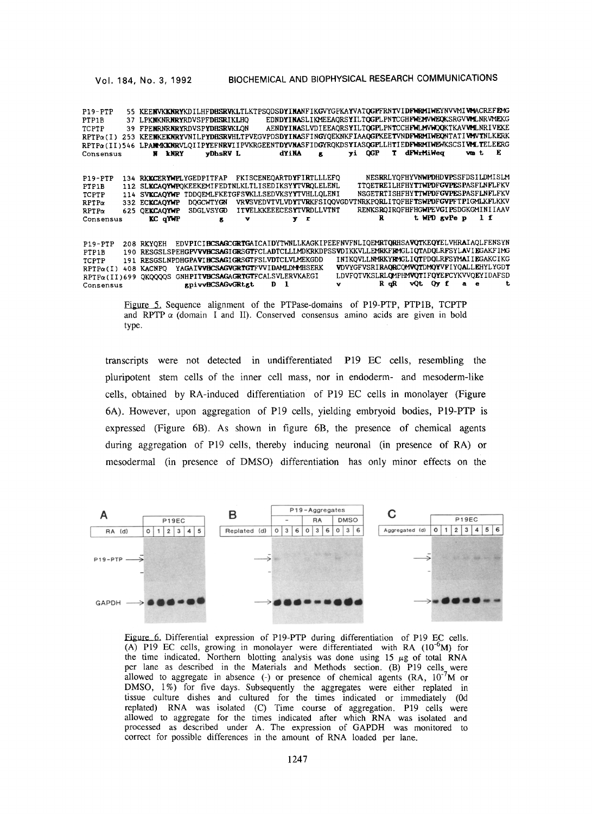| P19-PTP           |      |                   | 55 KEENVKKNRYKDILHFDHSRVKLTLKTPSQDSDYINANFIKGVYGPKAYVATQGPFRNTVIDFWRMIWEYNVVMIVMACREFFMG |                                                                 |          |    |        |    |                                                          |                  |    |
|-------------------|------|-------------------|------------------------------------------------------------------------------------------|-----------------------------------------------------------------|----------|----|--------|----|----------------------------------------------------------|------------------|----|
| PTP1B             | 37   |                   | LPKNKNRNRYRDVSPFDHSRIKLHO                                                                |                                                                 |          |    |        |    | EDNDYINASLIKMEEAQRSYILTQGPLPNTCGHFWEMVWEQKSRGVVMLNRVMEKG |                  |    |
| TCPTP             | 39   |                   | FPENRNRNRYRDVSPYDHSRVKLON                                                                |                                                                 |          |    |        |    | AENDYINASLVDIEEAQRSYILTQGPLPNTCCHFWLMVWQQKTKAVVMLNRIVEKE |                  |    |
| $RPTP\alpha(I)$   | 253  |                   | KEENKEKNRYVNILPYDHSRVHLTPVEGVPDSDYINASFINGYQEKNKFIAAQGPKEETVNDFWRMIWEQNTATIVMVTNLKERK    |                                                                 |          |    |        |    |                                                          |                  |    |
| RPTPa(II)546      |      |                   | LPANMKKNRVLQIIPYEFNRVIIPVKRGEENTDYVNASFIDGYRQKDSYIASQGPLLHTIEDFWRMIWEWKSCSIVMLTELEERG    |                                                                 |          |    |        |    |                                                          |                  |    |
| Consensus         |      | <b>LNRY</b><br>N. | vDhsRV L                                                                                 |                                                                 | dYiNA    | к. | yi QGP | T. | dFWrHiWeg                                                | vm t             | Е  |
|                   |      |                   |                                                                                          |                                                                 |          |    |        |    |                                                          |                  |    |
|                   |      |                   |                                                                                          |                                                                 |          |    |        |    |                                                          |                  |    |
| $P19-PTP$         |      |                   | 134 RKKCERYWPLYGEDPITFAP                                                                 | FKISCENEOARTDYFIRTLLLEFO                                        |          |    |        |    | NESRRLYOFHYVNWPDHDVPSSFDSILDMISLM                        |                  |    |
| PTP1B             | 112  |                   | SLKCAOYWPOKEEKEMIFEDTNLKLTLISEDIKSYYTVROLELENL                                           |                                                                 |          |    |        |    | <b>TTOETREILHFHYTTWPDFGVPESPASFLNFLFKV</b>               |                  |    |
| TCPTP             | 114  | <b>SVKCAOYWP</b>  | TDDOEMLFKETGFSVKLLSEDVKSYYTVHLLOLENI                                                     |                                                                 |          |    |        |    | NSGETRTISHFHYTTWPDFGVPESPASFLNFLFKV                      |                  |    |
| RPTPa             |      | 332 ECKCAOYWP     | <b>DOGCWTYGN</b>                                                                         | VRVSVEDVTVLVDYTVRKFSIQQVGDVTNRKPQRLITQFHFTSWPDFGVPFTPIGMLKFLKKV |          |    |        |    |                                                          |                  |    |
| $RPTP\alpha$      | 625. | <b>OEKCAOYWP</b>  | <b>SDGLVSYGD</b>                                                                         | <b>ITVELKKEEECESYTVRDLLVTNT</b>                                 |          |    |        |    | RENKSROIROFHFHGWPEVGIPSDGKGMINIIAAV                      |                  |    |
| Consensus         |      | KC qYWP           | g                                                                                        | v                                                               | y r      |    |        | R  |                                                          | t WPD gyPe p 1 f |    |
|                   |      |                   |                                                                                          |                                                                 |          |    |        |    |                                                          |                  |    |
|                   |      |                   |                                                                                          |                                                                 |          |    |        |    |                                                          |                  |    |
| $P19 - PTP$       |      | 208 RKYOEH        | EDVPICIRCSAGCGRIGAICAIDYTWNLLKAGKIPEEFNVFNLIQEMRTORHSAVOTKEQYELVHRAIAOLFENSYN            |                                                                 |          |    |        |    |                                                          |                  |    |
| PTP <sub>1B</sub> | 190. |                   | RESGSLSPEHGPVVVHCSAGIGRSGTFCLADTCLLLMDKRKDPSSVDIKKVLLEMRKFRMGLIQTADQLRFSYLAVIEGAKFIMG    |                                                                 |          |    |        |    |                                                          |                  |    |
| TCPTP             | 191  |                   | RESGSLNPDHGPAVIHCSAGIGRSGTFSLVDTCLVLMEKGDD                                               |                                                                 |          |    |        |    | INIKOVLLNMRKYRMGLIOTPDOLRFSYMAIIEGAKCIKG                 |                  |    |
| $RPTP\alpha(I)$   | 408  | <b>KACNPO</b>     | YAGAIVVHCSAGVGRTGTFVVIDAMLDMMHSERK                                                       |                                                                 |          |    |        |    | VDVYGFVSRIRAORCOMVOTDMOYVFIYOALLEHYLYGDT                 |                  |    |
| RPTPa(II)699      |      | <b>OKOOOOS</b>    | GNHPITVHCSAGAGRTGTFCALSVLERVKAEGI                                                        |                                                                 |          |    |        |    | LDVFOTVKSLRLOMPHMVOTIFOYEFCYKVVOEYIDAFSD                 |                  |    |
| Consensus         |      |                   | gpivvHCSAGvGRtgt                                                                         |                                                                 | $D \cup$ | v  |        |    | Rock vQt Qy fae                                          |                  | t. |
|                   |      |                   |                                                                                          |                                                                 |          |    |        |    |                                                          |                  |    |

Figure 5. Sequence alignment of the PTPase-domains of P19-PTP, PTP1B, TCPTP and RPTP  $\alpha$  (domain I and II). Conserved consensus amino acids are given in bold type.

transcripts were not detected in undifferentiated P19 EC cells, resembling the pluripotent stem cells of the inner cell mass, nor in endoderm- and mesoderm-like cells, obtained by RA-induced differentiation of P19 EC cells in monolayer (Figure 6A). However, upon aggregation of P19 cells, yielding embryoid bodies, P19-PTP is expressed (Figure 6B). As shown in figure 6B, the presence of chemical agents during aggregation of P19 cells, thereby inducing neuronal (in presence of RA) or mesodermal (in presence of DMSO) differentiation has only minor effects on the



Figure 6. Differential expression of P19-PTP during differentiation of P19 EC cells. (A) P19 EC cells, growing in monolayer were differentiated with RA  $(10^{-6}M)$  for the time indicated. Northern blotting analysis was done using  $15 \mu g$  of total RNA per lane as described in the Materials and Methods section. (B) P19 cells were allowed to aggregate in absence (-) or presence of chemical agents  $(RA, 10^{-7}M)$  or DMSO, 1%) for five days. Subsequently the aggregates were either replated in tissue culture dishes and cultured for the times indicated or immediately (0d replated) RNA was isolated (C) Time course of aggregation. P19 cells were allowed to aggregate for the times indicated after which RNA was isolated and processed as described under A. The expression of GAPDH was monitored to correct for possible differences in the amount of RNA loaded per lane.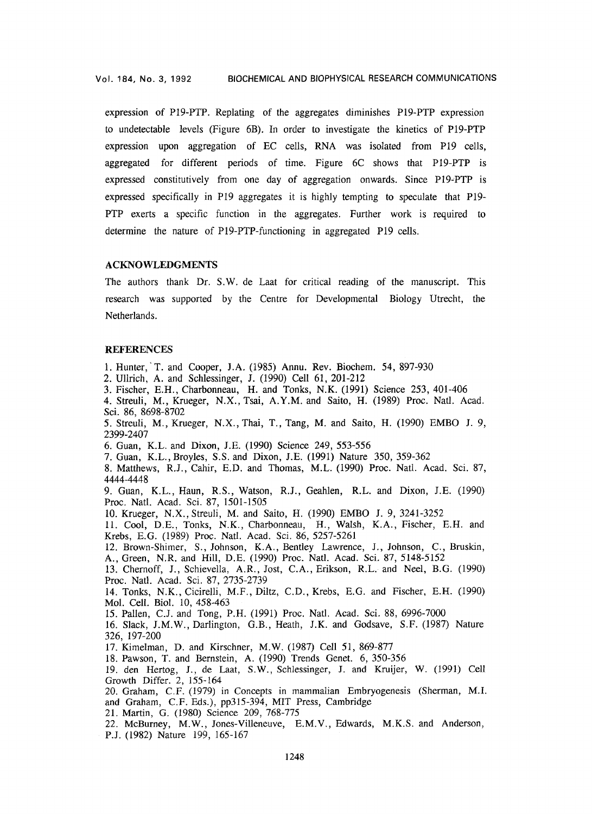expression of P19-PTP. Replating of the aggregates diminishes P19-PTP expression to undetectable levels (Figure 6B). In order to investigate the kinetics of P19-PTP expression upon aggregation of EC cells, RNA was isolated from P19 cells, aggregated for different periods of time. Figure 6C shows that P19-PTP is expressed constitutively from one day of aggregation onwards. Since P19-PTP is expressed specifically in P19 aggregates it is highly tempting to speculate that P19- PTP exerts a specific function in the aggregates. Further work is required to determine the nature of P19-PTP-functioning in aggregated P19 cells.

## ACKNOWLEDGMENTS

The authors thank Dr. S.W. de Laat for critical reading of the manuscript. This research was supported by the Centre for Developmental Biology Utrecht, the Netherlands.

## **REFERENCES**

1. Hunter, T. and Cooper, J.A. (1985) Annu. Rev. Biochem. 54, 897-930

2. Ullrich, A. and Schlessinger, J. (1990) Cell 61,201-212

3. Fischer, E.H., Charbonneau, H. and Tonks, N.K. (1991) Science 253,401-406

4. Streuli, M., Krueger, N.X., Tsai, A.Y.M. and Saito, H. (1989) Proc. Natl. Acad. Sci. 86, 8698-8702

5. Streuli, M., Krueger, N.X., Thai, T., Tang, M. and Saito, H. (1990) EMBO J. 9, 2399-2407

6. Guan, K.L. and Dixon, J.E. (1990) Science 249, 553-556

7. Guan, K.L., Broyles, S.S. and Dixon, J.E. (1991) Nature 350, 359-362

8. Matthews, R.J., Cahir, E.D. and Thomas, M.L. (1990) Proc. Natl. Acad. Sci. 87, 4444-4448

9. Guan, K.L., Haun, R.S., Watson, R.J., Geahlen, R.L. and Dixon, J.E. (1990) Proc. Natl. Acad. Sci. 87, *1501-1505* 

10. Krueger, N.X., Streuli, M. and Saito, H. (1990) EMBO J. 9, 3241-3252

11. Cool, D.E., Tonks, N.K., Charbonneau, H., Walsh, K.A., Fischer, E.H. and Krebs, E.G. (1989) Proc. Natl. Acad. Sci. 86, 5257-5261

12. Brown-Shimer, S., Johnson, K.A., Bentley Lawrence, J., Johnson, C., Bruskin, A., Green, N.R. and Hill, D.E. (1990) Proc. Natl. Acad. Sci. 87, 5148-5152

13. Chernoff, J., Schievella, A.R., Jost, C.A., Erikson, R.L. and Neel, B.G. (1990)

Proc. Natl. Acad. Sci. 87, 2735-2739

14. Tonks, N.K., Cicirelli, M.F., Diltz, C.D., Krebs, E.G. and Fischer, E.H. (1990) Mol. Cell. Biol. 10, 458-463

15. Pallen, C.J. and Tong, P.H. (t991) Proc. Natl. Acad. Sci. 88, 6996-7000

16. Slack, J.M.W., Darlington, G.B., Heath, J.K. and Godsave, S.F. (1987) Nature 326, 197-200

17. Kimelman, D. and Kirschner, M.W. (1987) Cell 51, 869-877

18. Pawson, T. and Bernstein, A. (1990) Trends Genet. 6, 350-356

19. den Hertog, J., de Laat, S.W., Schlessinger, J. and Kruijer, W. (1991) Cell Growth Differ. 2, 155-164

20. Graham, C.F. (1979) in Concepts in mammalian Embryogenesis (Sherman, M.I. and Graham, C.F. Eds.), pp315-394, MIT Press, Cambridge

21. Martin, G. (1980) Science 209, 768-775

22. MeBurney, M.W., Jones-Villeneuve, E.M.V., Edwards, M.K.S. and Anderson, P.J. (1982) Nature 199, 165-167